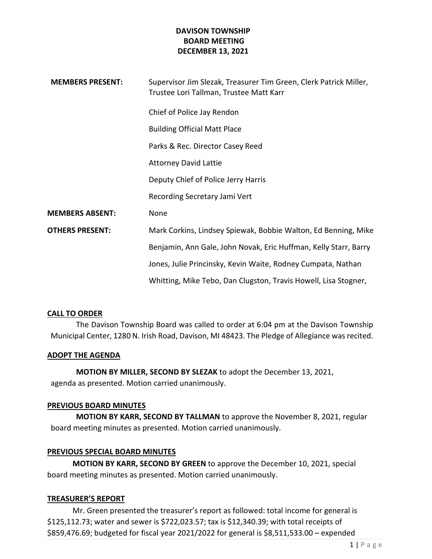| <b>MEMBERS PRESENT:</b> | Supervisor Jim Slezak, Treasurer Tim Green, Clerk Patrick Miller,<br>Trustee Lori Tallman, Trustee Matt Karr |
|-------------------------|--------------------------------------------------------------------------------------------------------------|
|                         | Chief of Police Jay Rendon                                                                                   |
|                         | <b>Building Official Matt Place</b>                                                                          |
|                         | Parks & Rec. Director Casey Reed                                                                             |
|                         | <b>Attorney David Lattie</b>                                                                                 |
|                         | Deputy Chief of Police Jerry Harris                                                                          |
|                         | Recording Secretary Jami Vert                                                                                |
| <b>MEMBERS ABSENT:</b>  | None                                                                                                         |
| <b>OTHERS PRESENT:</b>  | Mark Corkins, Lindsey Spiewak, Bobbie Walton, Ed Benning, Mike                                               |
|                         | Benjamin, Ann Gale, John Novak, Eric Huffman, Kelly Starr, Barry                                             |
|                         | Jones, Julie Princinsky, Kevin Waite, Rodney Cumpata, Nathan                                                 |
|                         | Whitting, Mike Tebo, Dan Clugston, Travis Howell, Lisa Stogner,                                              |

## CALL TO ORDER

The Davison Township Board was called to order at 6:04 pm at the Davison Township Municipal Center, 1280 N. Irish Road, Davison, MI 48423. The Pledge of Allegiance was recited.

## ADOPT THE AGENDA

MOTION BY MILLER, SECOND BY SLEZAK to adopt the December 13, 2021, agenda as presented. Motion carried unanimously.

#### PREVIOUS BOARD MINUTES

MOTION BY KARR, SECOND BY TALLMAN to approve the November 8, 2021, regular board meeting minutes as presented. Motion carried unanimously.

## PREVIOUS SPECIAL BOARD MINUTES

MOTION BY KARR, SECOND BY GREEN to approve the December 10, 2021, special board meeting minutes as presented. Motion carried unanimously.

#### TREASURER'S REPORT

 Mr. Green presented the treasurer's report as followed: total income for general is \$125,112.73; water and sewer is \$722,023.57; tax is \$12,340.39; with total receipts of \$859,476.69; budgeted for fiscal year 2021/2022 for general is \$8,511,533.00 – expended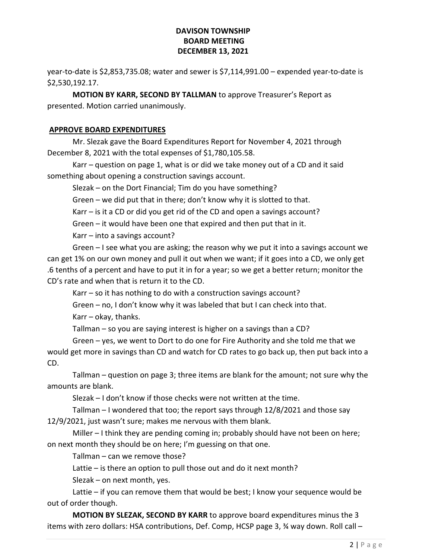year-to-date is \$2,853,735.08; water and sewer is \$7,114,991.00 – expended year-to-date is \$2,530,192.17.

MOTION BY KARR, SECOND BY TALLMAN to approve Treasurer's Report as presented. Motion carried unanimously.

# APPROVE BOARD EXPENDITURES

 Mr. Slezak gave the Board Expenditures Report for November 4, 2021 through December 8, 2021 with the total expenses of \$1,780,105.58.

 Karr – question on page 1, what is or did we take money out of a CD and it said something about opening a construction savings account.

Slezak – on the Dort Financial; Tim do you have something?

Green – we did put that in there; don't know why it is slotted to that.

Karr – is it a CD or did you get rid of the CD and open a savings account?

Green – it would have been one that expired and then put that in it.

Karr – into a savings account?

 Green – I see what you are asking; the reason why we put it into a savings account we can get 1% on our own money and pull it out when we want; if it goes into a CD, we only get .6 tenths of a percent and have to put it in for a year; so we get a better return; monitor the CD's rate and when that is return it to the CD.

Karr – so it has nothing to do with a construction savings account?

Green – no, I don't know why it was labeled that but I can check into that.

Karr – okay, thanks.

Tallman – so you are saying interest is higher on a savings than a CD?

 Green – yes, we went to Dort to do one for Fire Authority and she told me that we would get more in savings than CD and watch for CD rates to go back up, then put back into a CD.

 Tallman – question on page 3; three items are blank for the amount; not sure why the amounts are blank.

Slezak – I don't know if those checks were not written at the time.

 Tallman – I wondered that too; the report says through 12/8/2021 and those say 12/9/2021, just wasn't sure; makes me nervous with them blank.

 Miller – I think they are pending coming in; probably should have not been on here; on next month they should be on here; I'm guessing on that one.

Tallman – can we remove those?

Lattie – is there an option to pull those out and do it next month?

Slezak – on next month, yes.

 Lattie – if you can remove them that would be best; I know your sequence would be out of order though.

MOTION BY SLEZAK, SECOND BY KARR to approve board expenditures minus the 3 items with zero dollars: HSA contributions, Def. Comp, HCSP page 3, ¾ way down. Roll call –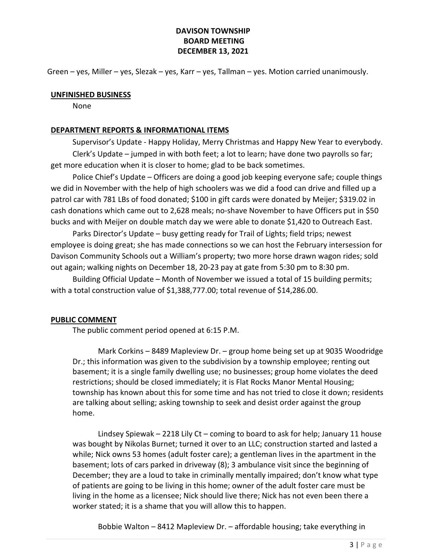Green – yes, Miller – yes, Slezak – yes, Karr – yes, Tallman – yes. Motion carried unanimously.

#### UNFINISHED BUSINESS

None

### DEPARTMENT REPORTS & INFORMATIONAL ITEMS

 Supervisor's Update - Happy Holiday, Merry Christmas and Happy New Year to everybody. Clerk's Update – jumped in with both feet; a lot to learn; have done two payrolls so far; get more education when it is closer to home; glad to be back sometimes.

 Police Chief's Update – Officers are doing a good job keeping everyone safe; couple things we did in November with the help of high schoolers was we did a food can drive and filled up a patrol car with 781 LBs of food donated; \$100 in gift cards were donated by Meijer; \$319.02 in cash donations which came out to 2,628 meals; no-shave November to have Officers put in \$50 bucks and with Meijer on double match day we were able to donate \$1,420 to Outreach East.

 Parks Director's Update – busy getting ready for Trail of Lights; field trips; newest employee is doing great; she has made connections so we can host the February intersession for Davison Community Schools out a William's property; two more horse drawn wagon rides; sold out again; walking nights on December 18, 20-23 pay at gate from 5:30 pm to 8:30 pm.

 Building Official Update – Month of November we issued a total of 15 building permits; with a total construction value of \$1,388,777.00; total revenue of \$14,286.00.

## PUBLIC COMMENT

The public comment period opened at 6:15 P.M.

 Mark Corkins – 8489 Mapleview Dr. – group home being set up at 9035 Woodridge Dr.; this information was given to the subdivision by a township employee; renting out basement; it is a single family dwelling use; no businesses; group home violates the deed restrictions; should be closed immediately; it is Flat Rocks Manor Mental Housing; township has known about this for some time and has not tried to close it down; residents are talking about selling; asking township to seek and desist order against the group home.

 Lindsey Spiewak – 2218 Lily Ct – coming to board to ask for help; January 11 house was bought by Nikolas Burnet; turned it over to an LLC; construction started and lasted a while; Nick owns 53 homes (adult foster care); a gentleman lives in the apartment in the basement; lots of cars parked in driveway (8); 3 ambulance visit since the beginning of December; they are a loud to take in criminally mentally impaired; don't know what type of patients are going to be living in this home; owner of the adult foster care must be living in the home as a licensee; Nick should live there; Nick has not even been there a worker stated; it is a shame that you will allow this to happen.

Bobbie Walton – 8412 Mapleview Dr. – affordable housing; take everything in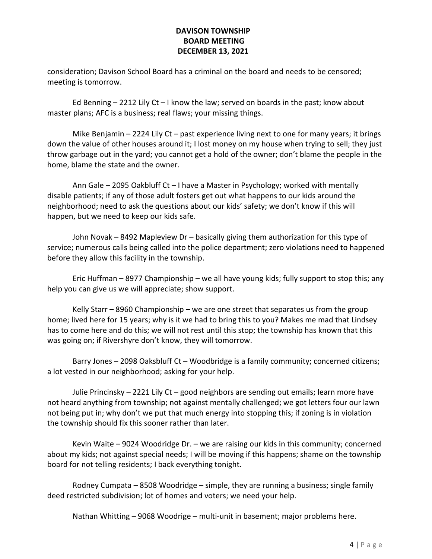consideration; Davison School Board has a criminal on the board and needs to be censored; meeting is tomorrow.

Ed Benning  $-$  2212 Lily Ct  $-$  I know the law; served on boards in the past; know about master plans; AFC is a business; real flaws; your missing things.

Mike Benjamin  $-$  2224 Lily Ct  $-$  past experience living next to one for many years; it brings down the value of other houses around it; I lost money on my house when trying to sell; they just throw garbage out in the yard; you cannot get a hold of the owner; don't blame the people in the home, blame the state and the owner.

 Ann Gale – 2095 Oakbluff Ct – I have a Master in Psychology; worked with mentally disable patients; if any of those adult fosters get out what happens to our kids around the neighborhood; need to ask the questions about our kids' safety; we don't know if this will happen, but we need to keep our kids safe.

 John Novak – 8492 Mapleview Dr – basically giving them authorization for this type of service; numerous calls being called into the police department; zero violations need to happened before they allow this facility in the township.

 Eric Huffman – 8977 Championship – we all have young kids; fully support to stop this; any help you can give us we will appreciate; show support.

 Kelly Starr – 8960 Championship – we are one street that separates us from the group home; lived here for 15 years; why is it we had to bring this to you? Makes me mad that Lindsey has to come here and do this; we will not rest until this stop; the township has known that this was going on; if Rivershyre don't know, they will tomorrow.

 Barry Jones – 2098 Oaksbluff Ct – Woodbridge is a family community; concerned citizens; a lot vested in our neighborhood; asking for your help.

 Julie Princinsky – 2221 Lily Ct – good neighbors are sending out emails; learn more have not heard anything from township; not against mentally challenged; we got letters four our lawn not being put in; why don't we put that much energy into stopping this; if zoning is in violation the township should fix this sooner rather than later.

 Kevin Waite – 9024 Woodridge Dr. – we are raising our kids in this community; concerned about my kids; not against special needs; I will be moving if this happens; shame on the township board for not telling residents; I back everything tonight.

 Rodney Cumpata – 8508 Woodridge – simple, they are running a business; single family deed restricted subdivision; lot of homes and voters; we need your help.

Nathan Whitting – 9068 Woodrige – multi-unit in basement; major problems here.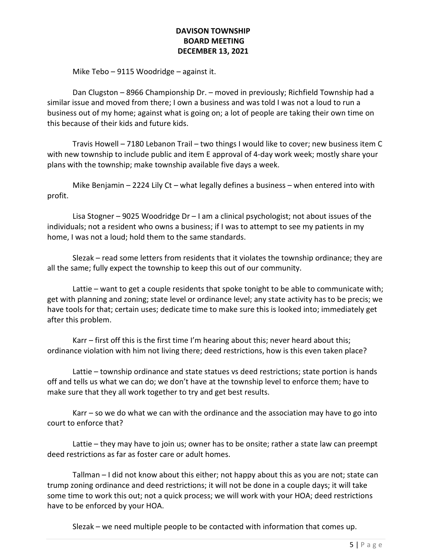Mike Tebo – 9115 Woodridge – against it.

 Dan Clugston – 8966 Championship Dr. – moved in previously; Richfield Township had a similar issue and moved from there; I own a business and was told I was not a loud to run a business out of my home; against what is going on; a lot of people are taking their own time on this because of their kids and future kids.

 Travis Howell – 7180 Lebanon Trail – two things I would like to cover; new business item C with new township to include public and item E approval of 4-day work week; mostly share your plans with the township; make township available five days a week.

Mike Benjamin – 2224 Lily Ct – what legally defines a business – when entered into with profit.

 Lisa Stogner – 9025 Woodridge Dr – I am a clinical psychologist; not about issues of the individuals; not a resident who owns a business; if I was to attempt to see my patients in my home, I was not a loud; hold them to the same standards.

 Slezak – read some letters from residents that it violates the township ordinance; they are all the same; fully expect the township to keep this out of our community.

 Lattie – want to get a couple residents that spoke tonight to be able to communicate with; get with planning and zoning; state level or ordinance level; any state activity has to be precis; we have tools for that; certain uses; dedicate time to make sure this is looked into; immediately get after this problem.

 Karr – first off this is the first time I'm hearing about this; never heard about this; ordinance violation with him not living there; deed restrictions, how is this even taken place?

 Lattie – township ordinance and state statues vs deed restrictions; state portion is hands off and tells us what we can do; we don't have at the township level to enforce them; have to make sure that they all work together to try and get best results.

 Karr – so we do what we can with the ordinance and the association may have to go into court to enforce that?

 Lattie – they may have to join us; owner has to be onsite; rather a state law can preempt deed restrictions as far as foster care or adult homes.

 Tallman – I did not know about this either; not happy about this as you are not; state can trump zoning ordinance and deed restrictions; it will not be done in a couple days; it will take some time to work this out; not a quick process; we will work with your HOA; deed restrictions have to be enforced by your HOA.

Slezak – we need multiple people to be contacted with information that comes up.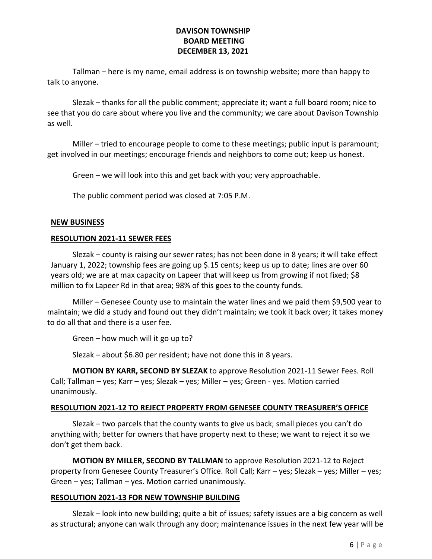Tallman – here is my name, email address is on township website; more than happy to talk to anyone.

 Slezak – thanks for all the public comment; appreciate it; want a full board room; nice to see that you do care about where you live and the community; we care about Davison Township as well.

 Miller – tried to encourage people to come to these meetings; public input is paramount; get involved in our meetings; encourage friends and neighbors to come out; keep us honest.

Green – we will look into this and get back with you; very approachable.

The public comment period was closed at 7:05 P.M.

### NEW BUSINESS

### RESOLUTION 2021-11 SEWER FEES

Slezak – county is raising our sewer rates; has not been done in 8 years; it will take effect January 1, 2022; township fees are going up \$.15 cents; keep us up to date; lines are over 60 years old; we are at max capacity on Lapeer that will keep us from growing if not fixed; \$8 million to fix Lapeer Rd in that area; 98% of this goes to the county funds.

 Miller – Genesee County use to maintain the water lines and we paid them \$9,500 year to maintain; we did a study and found out they didn't maintain; we took it back over; it takes money to do all that and there is a user fee.

Green – how much will it go up to?

Slezak – about \$6.80 per resident; have not done this in 8 years.

MOTION BY KARR, SECOND BY SLEZAK to approve Resolution 2021-11 Sewer Fees. Roll Call; Tallman – yes; Karr – yes; Slezak – yes; Miller – yes; Green - yes. Motion carried unanimously.

## RESOLUTION 2021-12 TO REJECT PROPERTY FROM GENESEE COUNTY TREASURER'S OFFICE

 Slezak – two parcels that the county wants to give us back; small pieces you can't do anything with; better for owners that have property next to these; we want to reject it so we don't get them back.

MOTION BY MILLER, SECOND BY TALLMAN to approve Resolution 2021-12 to Reject property from Genesee County Treasurer's Office. Roll Call; Karr – yes; Slezak – yes; Miller – yes; Green – yes; Tallman – yes. Motion carried unanimously.

## RESOLUTION 2021-13 FOR NEW TOWNSHIP BUILDING

 Slezak – look into new building; quite a bit of issues; safety issues are a big concern as well as structural; anyone can walk through any door; maintenance issues in the next few year will be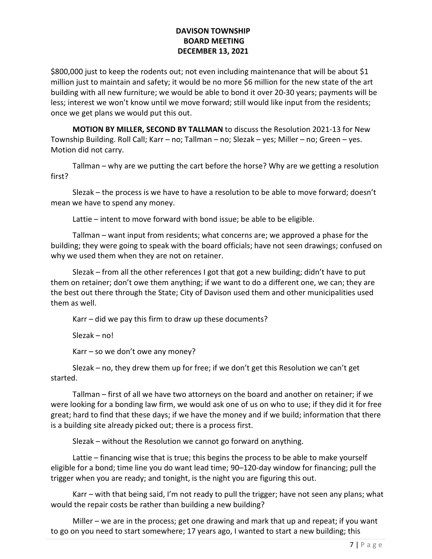\$800,000 just to keep the rodents out; not even including maintenance that will be about \$1 million just to maintain and safety; it would be no more \$6 million for the new state of the art building with all new furniture; we would be able to bond it over 20-30 years; payments will be less; interest we won't know until we move forward; still would like input from the residents; once we get plans we would put this out.

MOTION BY MILLER, SECOND BY TALLMAN to discuss the Resolution 2021-13 for New Township Building. Roll Call; Karr – no; Tallman – no; Slezak – yes; Miller – no; Green – yes. Motion did not carry.

Tallman – why are we putting the cart before the horse? Why are we getting a resolution first?

 Slezak – the process is we have to have a resolution to be able to move forward; doesn't mean we have to spend any money.

Lattie – intent to move forward with bond issue; be able to be eligible.

 Tallman – want input from residents; what concerns are; we approved a phase for the building; they were going to speak with the board officials; have not seen drawings; confused on why we used them when they are not on retainer.

 Slezak – from all the other references I got that got a new building; didn't have to put them on retainer; don't owe them anything; if we want to do a different one, we can; they are the best out there through the State; City of Davison used them and other municipalities used them as well.

Karr – did we pay this firm to draw up these documents?

Slezak – no!

Karr – so we don't owe any money?

 Slezak – no, they drew them up for free; if we don't get this Resolution we can't get started.

 Tallman – first of all we have two attorneys on the board and another on retainer; if we were looking for a bonding law firm, we would ask one of us on who to use; if they did it for free great; hard to find that these days; if we have the money and if we build; information that there is a building site already picked out; there is a process first.

Slezak – without the Resolution we cannot go forward on anything.

 Lattie – financing wise that is true; this begins the process to be able to make yourself eligible for a bond; time line you do want lead time; 90–120-day window for financing; pull the trigger when you are ready; and tonight, is the night you are figuring this out.

 Karr – with that being said, I'm not ready to pull the trigger; have not seen any plans; what would the repair costs be rather than building a new building?

 Miller – we are in the process; get one drawing and mark that up and repeat; if you want to go on you need to start somewhere; 17 years ago, I wanted to start a new building; this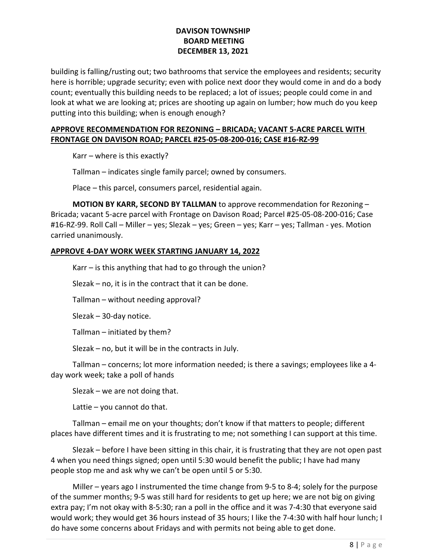building is falling/rusting out; two bathrooms that service the employees and residents; security here is horrible; upgrade security; even with police next door they would come in and do a body count; eventually this building needs to be replaced; a lot of issues; people could come in and look at what we are looking at; prices are shooting up again on lumber; how much do you keep putting into this building; when is enough enough?

# APPROVE RECOMMENDATION FOR REZONING – BRICADA; VACANT 5-ACRE PARCEL WITH FRONTAGE ON DAVISON ROAD; PARCEL #25-05-08-200-016; CASE #16-RZ-99

Karr – where is this exactly?

Tallman – indicates single family parcel; owned by consumers.

Place – this parcel, consumers parcel, residential again.

 MOTION BY KARR, SECOND BY TALLMAN to approve recommendation for Rezoning – Bricada; vacant 5-acre parcel with Frontage on Davison Road; Parcel #25-05-08-200-016; Case #16-RZ-99. Roll Call – Miller – yes; Slezak – yes; Green – yes; Karr – yes; Tallman - yes. Motion carried unanimously.

## APPROVE 4-DAY WORK WEEK STARTING JANUARY 14, 2022

Karr – is this anything that had to go through the union?

Slezak – no, it is in the contract that it can be done.

Tallman – without needing approval?

Slezak – 30-day notice.

Tallman – initiated by them?

Slezak – no, but it will be in the contracts in July.

 Tallman – concerns; lot more information needed; is there a savings; employees like a 4 day work week; take a poll of hands

Slezak – we are not doing that.

Lattie – you cannot do that.

 Tallman – email me on your thoughts; don't know if that matters to people; different places have different times and it is frustrating to me; not something I can support at this time.

 Slezak – before I have been sitting in this chair, it is frustrating that they are not open past 4 when you need things signed; open until 5:30 would benefit the public; I have had many people stop me and ask why we can't be open until 5 or 5:30.

 Miller – years ago I instrumented the time change from 9-5 to 8-4; solely for the purpose of the summer months; 9-5 was still hard for residents to get up here; we are not big on giving extra pay; I'm not okay with 8-5:30; ran a poll in the office and it was 7-4:30 that everyone said would work; they would get 36 hours instead of 35 hours; I like the 7-4:30 with half hour lunch; I do have some concerns about Fridays and with permits not being able to get done.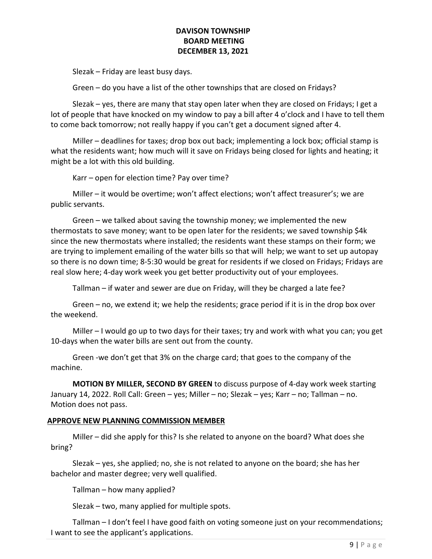Slezak – Friday are least busy days.

Green – do you have a list of the other townships that are closed on Fridays?

 Slezak – yes, there are many that stay open later when they are closed on Fridays; I get a lot of people that have knocked on my window to pay a bill after 4 o'clock and I have to tell them to come back tomorrow; not really happy if you can't get a document signed after 4.

 Miller – deadlines for taxes; drop box out back; implementing a lock box; official stamp is what the residents want; how much will it save on Fridays being closed for lights and heating; it might be a lot with this old building.

Karr – open for election time? Pay over time?

 Miller – it would be overtime; won't affect elections; won't affect treasurer's; we are public servants.

 Green – we talked about saving the township money; we implemented the new thermostats to save money; want to be open later for the residents; we saved township \$4k since the new thermostats where installed; the residents want these stamps on their form; we are trying to implement emailing of the water bills so that will help; we want to set up autopay so there is no down time; 8-5:30 would be great for residents if we closed on Fridays; Fridays are real slow here; 4-day work week you get better productivity out of your employees.

Tallman – if water and sewer are due on Friday, will they be charged a late fee?

 Green – no, we extend it; we help the residents; grace period if it is in the drop box over the weekend.

 Miller – I would go up to two days for their taxes; try and work with what you can; you get 10-days when the water bills are sent out from the county.

 Green -we don't get that 3% on the charge card; that goes to the company of the machine.

MOTION BY MILLER, SECOND BY GREEN to discuss purpose of 4-day work week starting January 14, 2022. Roll Call: Green – yes; Miller – no; Slezak – yes; Karr – no; Tallman – no. Motion does not pass.

## APPROVE NEW PLANNING COMMISSION MEMBER

 Miller – did she apply for this? Is she related to anyone on the board? What does she bring?

 Slezak – yes, she applied; no, she is not related to anyone on the board; she has her bachelor and master degree; very well qualified.

Tallman – how many applied?

Slezak – two, many applied for multiple spots.

 Tallman – I don't feel I have good faith on voting someone just on your recommendations; I want to see the applicant's applications.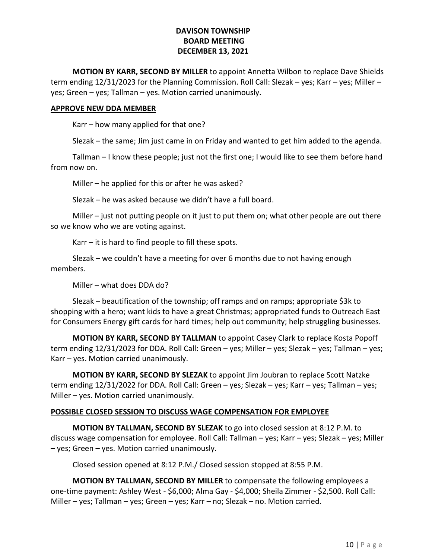MOTION BY KARR, SECOND BY MILLER to appoint Annetta Wilbon to replace Dave Shields term ending 12/31/2023 for the Planning Commission. Roll Call: Slezak – yes; Karr – yes; Miller – yes; Green – yes; Tallman – yes. Motion carried unanimously.

#### APPROVE NEW DDA MEMBER

Karr – how many applied for that one?

Slezak – the same; Jim just came in on Friday and wanted to get him added to the agenda.

 Tallman – I know these people; just not the first one; I would like to see them before hand from now on.

Miller – he applied for this or after he was asked?

Slezak – he was asked because we didn't have a full board.

 Miller – just not putting people on it just to put them on; what other people are out there so we know who we are voting against.

Karr – it is hard to find people to fill these spots.

 Slezak – we couldn't have a meeting for over 6 months due to not having enough members.

Miller – what does DDA do?

 Slezak – beautification of the township; off ramps and on ramps; appropriate \$3k to shopping with a hero; want kids to have a great Christmas; appropriated funds to Outreach East for Consumers Energy gift cards for hard times; help out community; help struggling businesses.

MOTION BY KARR, SECOND BY TALLMAN to appoint Casey Clark to replace Kosta Popoff term ending 12/31/2023 for DDA. Roll Call: Green – yes; Miller – yes; Slezak – yes; Tallman – yes; Karr – yes. Motion carried unanimously.

 MOTION BY KARR, SECOND BY SLEZAK to appoint Jim Joubran to replace Scott Natzke term ending 12/31/2022 for DDA. Roll Call: Green – yes; Slezak – yes; Karr – yes; Tallman – yes; Miller – yes. Motion carried unanimously.

## POSSIBLE CLOSED SESSION TO DISCUSS WAGE COMPENSATION FOR EMPLOYEE

MOTION BY TALLMAN, SECOND BY SLEZAK to go into closed session at 8:12 P.M. to discuss wage compensation for employee. Roll Call: Tallman – yes; Karr – yes; Slezak – yes; Miller – yes; Green – yes. Motion carried unanimously.

Closed session opened at 8:12 P.M./ Closed session stopped at 8:55 P.M.

MOTION BY TALLMAN, SECOND BY MILLER to compensate the following employees a one-time payment: Ashley West - \$6,000; Alma Gay - \$4,000; Sheila Zimmer - \$2,500. Roll Call: Miller – yes; Tallman – yes; Green – yes; Karr – no; Slezak – no. Motion carried.